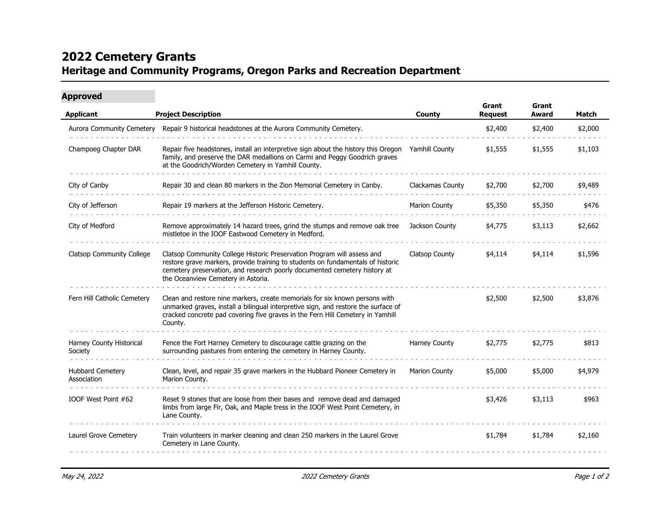## **2022 Cemetery Grants Heritage and Community Programs, Oregon Parks and Recreation Department**

| <b>Project Description</b>                                                                                                                                                                                                                                                    |                                       | Grant<br><b>Request</b> | Grant<br>Award | <b>Match</b> |
|-------------------------------------------------------------------------------------------------------------------------------------------------------------------------------------------------------------------------------------------------------------------------------|---------------------------------------|-------------------------|----------------|--------------|
|                                                                                                                                                                                                                                                                               | County                                |                         |                |              |
| Repair 9 historical headstones at the Aurora Community Cemetery.                                                                                                                                                                                                              |                                       | \$2,400                 | \$2,400        | \$2,000      |
| Repair five headstones, install an interpretive sign about the history this Oregon<br>family, and preserve the DAR medallions on Carmi and Peggy Goodrich graves<br>at the Goodrich/Worden Cemetery in Yamhill County.                                                        | Yamhill County                        | \$1,555                 | \$1,555        | \$1,103      |
| Repair 30 and clean 80 markers in the Zion Memorial Cemetery in Canby.                                                                                                                                                                                                        | Clackamas County                      | \$2,700                 | \$2,700        | \$9,489      |
| Repair 19 markers at the Jefferson Historic Cemetery.                                                                                                                                                                                                                         | <b>Marion County</b>                  | \$5,350                 | \$5,350        | \$476        |
| Remove approximately 14 hazard trees, grind the stumps and remove oak tree<br>mistletoe in the IOOF Eastwood Cemetery in Medford.                                                                                                                                             | Jackson County                        | \$4,775                 | \$3,113        | \$2,662      |
| Clatsop Community College Historic Preservation Program will assess and<br>restore grave markers, provide training to students on fundamentals of historic<br>cemetery preservation, and research poorly documented cemetery history at<br>the Oceanview Cemetery in Astoria. | <b>Clatsop County</b>                 | \$4,114                 | \$4,114        | \$1,596      |
| Clean and restore nine markers, create memorials for six known persons with<br>unmarked graves, install a bilingual interpretive sign, and restore the surface of<br>cracked concrete pad covering five graves in the Fern Hill Cemetery in Yamhill<br>County.                |                                       | \$2,500                 | \$2,500        | \$3,876      |
| Fence the Fort Harney Cemetery to discourage cattle grazing on the<br>surrounding pastures from entering the cemetery in Harney County.                                                                                                                                       | Harney County                         | \$2,775                 | \$2,775        | \$813        |
| Clean, level, and repair 35 grave markers in the Hubbard Pioneer Cemetery in<br>Marion County.                                                                                                                                                                                | <b>Marion County</b>                  | \$5,000                 | \$5,000        | \$4,979      |
| Reset 9 stones that are loose from their bases and remove dead and damaged<br>limbs from large Fir, Oak, and Maple tress in the IOOF West Point Cemetery, in<br>Lane County.                                                                                                  |                                       | \$3,426                 | \$3,113        | \$963        |
| Train volunteers in marker cleaning and clean 250 markers in the Laurel Grove<br>Cemetery in Lane County.                                                                                                                                                                     |                                       | \$1,784                 | \$1,784        | \$2,160      |
|                                                                                                                                                                                                                                                                               | <b>Aurora Community Cemetery</b><br>. |                         |                |              |